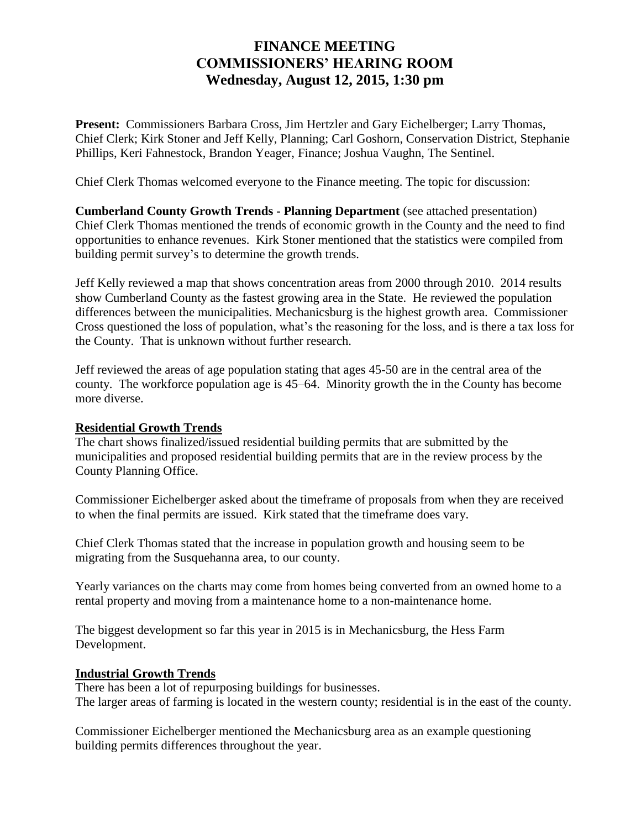## **FINANCE MEETING COMMISSIONERS' HEARING ROOM Wednesday, August 12, 2015, 1:30 pm**

**Present:** Commissioners Barbara Cross, Jim Hertzler and Gary Eichelberger; Larry Thomas, Chief Clerk; Kirk Stoner and Jeff Kelly, Planning; Carl Goshorn, Conservation District, Stephanie Phillips, Keri Fahnestock, Brandon Yeager, Finance; Joshua Vaughn, The Sentinel.

Chief Clerk Thomas welcomed everyone to the Finance meeting. The topic for discussion:

**Cumberland County Growth Trends - Planning Department** (see attached presentation) Chief Clerk Thomas mentioned the trends of economic growth in the County and the need to find opportunities to enhance revenues. Kirk Stoner mentioned that the statistics were compiled from building permit survey's to determine the growth trends.

Jeff Kelly reviewed a map that shows concentration areas from 2000 through 2010. 2014 results show Cumberland County as the fastest growing area in the State. He reviewed the population differences between the municipalities. Mechanicsburg is the highest growth area. Commissioner Cross questioned the loss of population, what's the reasoning for the loss, and is there a tax loss for the County. That is unknown without further research.

Jeff reviewed the areas of age population stating that ages 45-50 are in the central area of the county. The workforce population age is 45–64. Minority growth the in the County has become more diverse.

## **Residential Growth Trends**

The chart shows finalized/issued residential building permits that are submitted by the municipalities and proposed residential building permits that are in the review process by the County Planning Office.

Commissioner Eichelberger asked about the timeframe of proposals from when they are received to when the final permits are issued. Kirk stated that the timeframe does vary.

Chief Clerk Thomas stated that the increase in population growth and housing seem to be migrating from the Susquehanna area, to our county.

Yearly variances on the charts may come from homes being converted from an owned home to a rental property and moving from a maintenance home to a non-maintenance home.

The biggest development so far this year in 2015 is in Mechanicsburg, the Hess Farm Development.

## **Industrial Growth Trends**

There has been a lot of repurposing buildings for businesses. The larger areas of farming is located in the western county; residential is in the east of the county.

Commissioner Eichelberger mentioned the Mechanicsburg area as an example questioning building permits differences throughout the year.